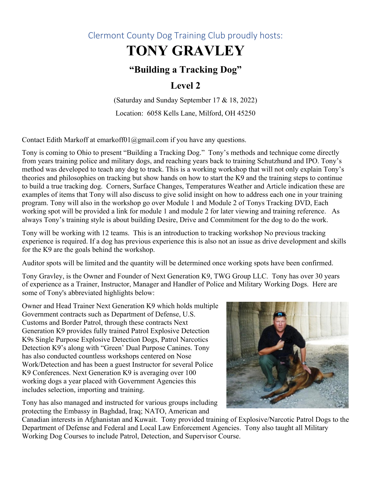### Clermont County Dog Training Club proudly hosts:

# **TONY GRAVLEY**

## **"Building a Tracking Dog"**

### **Level 2**

(Saturday and Sunday September 17 & 18, 2022) Location: 6058 Kells Lane, Milford, OH 45250

Contact Edith Markoff at emarkoff01@gmail.com if you have any questions.

Tony is coming to Ohio to present "Building a Tracking Dog." Tony's methods and technique come directly from years training police and military dogs, and reaching years back to training Schutzhund and IPO. Tony's method was developed to teach any dog to track. This is a working workshop that will not only explain Tony's theories and philosophies on tracking but show hands on how to start the K9 and the training steps to continue to build a true tracking dog. Corners, Surface Changes, Temperatures Weather and Article indication these are examples of items that Tony will also discuss to give solid insight on how to address each one in your training program. Tony will also in the workshop go over Module 1 and Module 2 of Tonys Tracking DVD, Each working spot will be provided a link for module 1 and module 2 for later viewing and training reference. As always Tony's training style is about building Desire, Drive and Commitment for the dog to do the work.

Tony will be working with 12 teams. This is an introduction to tracking workshop No previous tracking experience is required. If a dog has previous experience this is also not an issue as drive development and skills for the K9 are the goals behind the workshop.

Auditor spots will be limited and the quantity will be determined once working spots have been confirmed.

Tony Gravley, is the Owner and Founder of Next Generation K9, TWG Group LLC. Tony has over 30 years of experience as a Trainer, Instructor, Manager and Handler of Police and Military Working Dogs. Here are some of Tony's abbreviated highlights below:

Owner and Head Trainer Next Generation K9 which holds multiple Government contracts such as Department of Defense, U.S. Customs and Border Patrol, through these contracts Next Generation K9 provides fully trained Patrol Explosive Detection K9s Single Purpose Explosive Detection Dogs, Patrol Narcotics Detection K9's along with "Green' Dual Purpose Canines. Tony has also conducted countless workshops centered on Nose Work/Detection and has been a guest Instructor for several Police K9 Conferences. Next Generation K9 is averaging over 100 working dogs a year placed with Government Agencies this includes selection, importing and training.

Tony has also managed and instructed for various groups including protecting the Embassy in Baghdad, Iraq; NATO, American and



Canadian interests in Afghanistan and Kuwait. Tony provided training of Explosive/Narcotic Patrol Dogs to the Department of Defense and Federal and Local Law Enforcement Agencies. Tony also taught all Military Working Dog Courses to include Patrol, Detection, and Supervisor Course.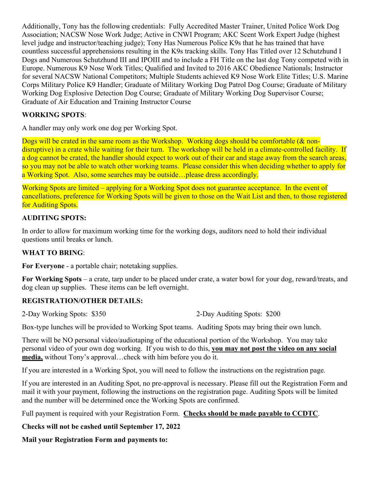Additionally, Tony has the following credentials: Fully Accredited Master Trainer, United Police Work Dog Association; NACSW Nose Work Judge; Active in CNWI Program; AKC Scent Work Expert Judge (highest level judge and instructor/teaching judge); Tony Has Numerous Police K9s that he has trained that have countless successful apprehensions resulting in the K9s tracking skills. Tony Has Titled over 12 Schutzhund I Dogs and Numerous Schutzhund III and IPOIII and to include a FH Title on the last dog Tony competed with in Europe. Numerous K9 Nose Work Titles; Qualified and Invited to 2016 AKC Obedience Nationals; Instructor for several NACSW National Competitors; Multiple Students achieved K9 Nose Work Elite Titles; U.S. Marine Corps Military Police K9 Handler; Graduate of Military Working Dog Patrol Dog Course; Graduate of Military Working Dog Explosive Detection Dog Course; Graduate of Military Working Dog Supervisor Course; Graduate of Air Education and Training Instructor Course

#### **WORKING SPOTS**:

A handler may only work one dog per Working Spot.

Dogs will be crated in the same room as the Workshop. Working dogs should be comfortable (& nondisruptive) in a crate while waiting for their turn. The workshop will be held in a climate-controlled facility. If a dog cannot be crated, the handler should expect to work out of their car and stage away from the search areas, so you may not be able to watch other working teams. Please consider this when deciding whether to apply for a Working Spot. Also, some searches may be outside…please dress accordingly.

Working Spots are limited – applying for a Working Spot does not guarantee acceptance. In the event of cancellations, preference for Working Spots will be given to those on the Wait List and then, to those registered for Auditing Spots.

#### **AUDITING SPOTS:**

In order to allow for maximum working time for the working dogs, auditors need to hold their individual questions until breaks or lunch.

#### **WHAT TO BRING**:

**For Everyone** - a portable chair; notetaking supplies.

**For Working Spots** – a crate, tarp under to be placed under crate, a water bowl for your dog, reward/treats, and dog clean up supplies. These items can be left overnight.

#### **REGISTRATION/OTHER DETAILS:**

2-Day Working Spots: \$350 2-Day Auditing Spots: \$200

Box-type lunches will be provided to Working Spot teams. Auditing Spots may bring their own lunch.

There will be NO personal video/audiotaping of the educational portion of the Workshop. You may take personal video of your own dog working. If you wish to do this, **you may not post the video on any social media,** without Tony's approval…check with him before you do it.

If you are interested in a Working Spot, you will need to follow the instructions on the registration page.

If you are interested in an Auditing Spot, no pre-approval is necessary. Please fill out the Registration Form and mail it with your payment, following the instructions on the registration page. Auditing Spots will be limited and the number will be determined once the Working Spots are confirmed.

Full payment is required with your Registration Form. **Checks should be made payable to CCDTC**.

#### **Checks will not be cashed until September 17, 2022**

**Mail your Registration Form and payments to:**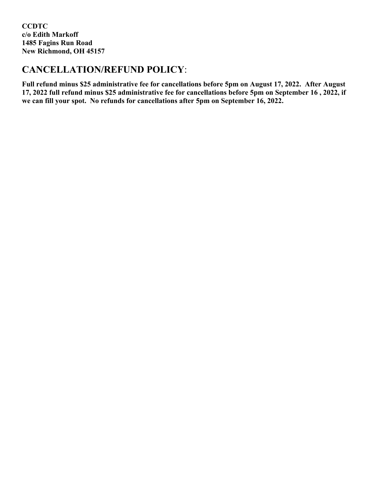**CCDTC c/o Edith Markoff 1485 Fagins Run Road New Richmond, OH 45157**

### **CANCELLATION/REFUND POLICY**:

**Full refund minus \$25 administrative fee for cancellations before 5pm on August 17, 2022. After August 17, 2022 full refund minus \$25 administrative fee for cancellations before 5pm on September 16 , 2022, if we can fill your spot. No refunds for cancellations after 5pm on September 16, 2022.**